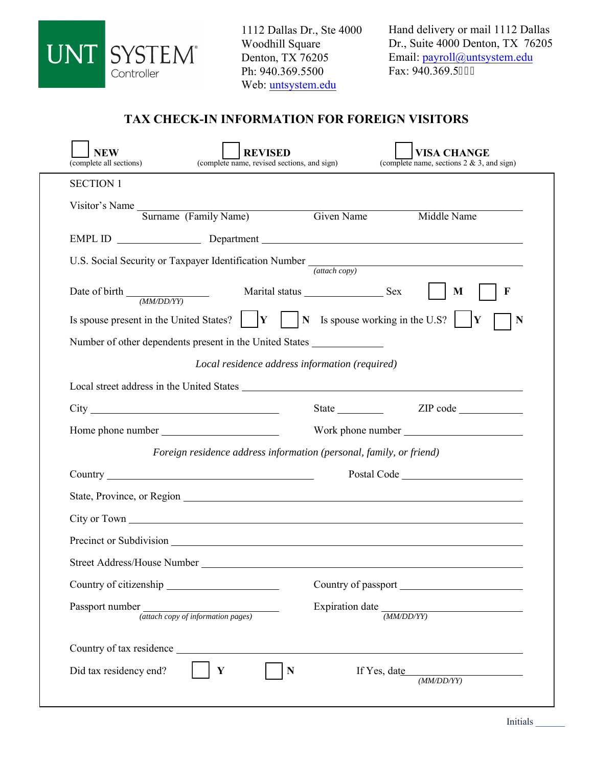

1112 Dallas Dr., Ste 4000 Woodhill Square Denton, TX 76205 Ph: 940.369.5500 Web: [untsystem.edu](https://www.untsystem.edu)

Hand delivery or mail 1112 Dallas Dr., Suite 4000 Denton, TX 76205 Email: [payroll@untsystem.edu](mailto: payroll@untsystem.edu) Fax: 940.369.5; 98

# **TAX CHECK-IN INFORMATION FOR FOREIGN VISITORS**

| <b>NEW</b><br><b>REVISED</b><br>(complete name, revised sections, and sign)<br>(complete all sections)                                                                                                                         | <b>VISA CHANGE</b><br>(complete name, sections $2 \& 3$ , and sign)      |  |  |  |
|--------------------------------------------------------------------------------------------------------------------------------------------------------------------------------------------------------------------------------|--------------------------------------------------------------------------|--|--|--|
| <b>SECTION 1</b>                                                                                                                                                                                                               |                                                                          |  |  |  |
| Visitor's Name<br>Surname (Family Name)                                                                                                                                                                                        | Given Name<br>Middle Name                                                |  |  |  |
|                                                                                                                                                                                                                                |                                                                          |  |  |  |
|                                                                                                                                                                                                                                | (attach copy)                                                            |  |  |  |
| Date of birth $\frac{M \cdot M}{M \cdot M}$                                                                                                                                                                                    | F<br>M                                                                   |  |  |  |
| Is spouse present in the United States? $ Y $                                                                                                                                                                                  | $\vert N \vert$ Is spouse working in the U.S? $\vert$<br>$ {\bf Y}$<br>N |  |  |  |
| Number of other dependents present in the United States                                                                                                                                                                        |                                                                          |  |  |  |
| Local residence address information (required)                                                                                                                                                                                 |                                                                          |  |  |  |
| Local street address in the United States Local States and States and States and States and States and States and States and States and States and States and States and States and States and States and States and States an |                                                                          |  |  |  |
| City                                                                                                                                                                                                                           | ZIP code                                                                 |  |  |  |
| Home phone number                                                                                                                                                                                                              |                                                                          |  |  |  |
| Foreign residence address information (personal, family, or friend)                                                                                                                                                            |                                                                          |  |  |  |
|                                                                                                                                                                                                                                | Postal Code                                                              |  |  |  |
|                                                                                                                                                                                                                                |                                                                          |  |  |  |
| City or Town                                                                                                                                                                                                                   |                                                                          |  |  |  |
|                                                                                                                                                                                                                                |                                                                          |  |  |  |
|                                                                                                                                                                                                                                |                                                                          |  |  |  |
|                                                                                                                                                                                                                                | Country of passport                                                      |  |  |  |
| Passport number<br>(attach copy of information pages)                                                                                                                                                                          | Expiration date $\frac{M \cdot M}{M \cdot N}$                            |  |  |  |
| Country of tax residence                                                                                                                                                                                                       |                                                                          |  |  |  |
| Did tax residency end?<br>Y<br>N                                                                                                                                                                                               | If Yes, date<br>(MM/DD/YY)                                               |  |  |  |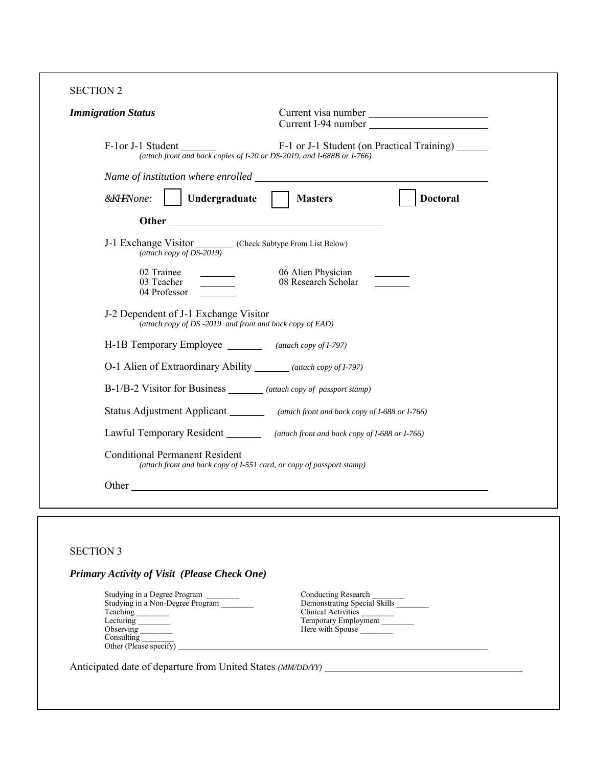SECTION 2

| <b>Immigration Status</b>                                        | Current visa number<br>Current I-94 number                                                                                                                                                                                                 |
|------------------------------------------------------------------|--------------------------------------------------------------------------------------------------------------------------------------------------------------------------------------------------------------------------------------------|
| F-1 or J-1 Student                                               | F-1 or J-1 Student (on Practical Training) _______<br>(attach front and back copies of I-20 or DS-2019, and I-688B or I-766)                                                                                                               |
|                                                                  |                                                                                                                                                                                                                                            |
| Ej gemone:                                                       | Undergraduate     Masters<br><b>Doctoral</b>                                                                                                                                                                                               |
|                                                                  |                                                                                                                                                                                                                                            |
|                                                                  | J-1 Exchange Visitor (attach copy of $DS-2019$ ) (Check Subtype From List Below)                                                                                                                                                           |
| 02 Trainee<br>03 Teacher<br>04 Professor                         | 06 Alien Physician<br>08 Research Scholar<br>$\mathcal{L}$ and $\mathcal{L}$                                                                                                                                                               |
| J-2 Dependent of J-1 Exchange Visitor                            | (attach copy of DS-2019 and front and back copy of EAD)                                                                                                                                                                                    |
|                                                                  | H-1B Temporary Employee (attach copy of I-797)                                                                                                                                                                                             |
|                                                                  | O-1 Alien of Extraordinary Ability ________ (attach copy of I-797)                                                                                                                                                                         |
|                                                                  | B-1/B-2 Visitor for Business _______ (attach copy of passport stamp)                                                                                                                                                                       |
|                                                                  | Status Adjustment Applicant _________ (attach front and back copy of I-688 or I-766)                                                                                                                                                       |
|                                                                  | Lawful Temporary Resident _________ (attach front and back copy of I-688 or I-766)                                                                                                                                                         |
| <b>Conditional Permanent Resident</b>                            | (attach front and back copy of I-551 card, or copy of passport stamp)                                                                                                                                                                      |
|                                                                  |                                                                                                                                                                                                                                            |
| <b>SECTION 3</b>                                                 |                                                                                                                                                                                                                                            |
| <b>Primary Activity of Visit (Please Check One)</b>              |                                                                                                                                                                                                                                            |
| Studying in a Degree Program<br>Studying in a Non-Degree Program | Conducting Research<br>Conducting Research<br>Demonstrating Special Skills<br>Clinical Activities<br>Temporary Employment<br>Here with Spouse<br>Observing<br>Consulting<br>Other (Please specify)<br>Consulting<br>Other (Please specify) |